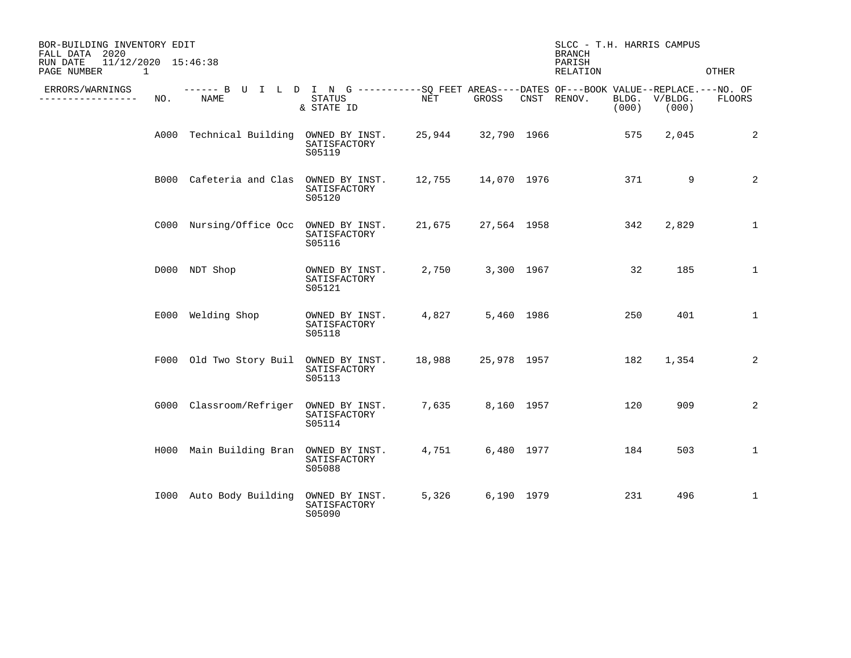| BOR-BUILDING INVENTORY EDIT<br>FALL DATA 2020<br>11/12/2020 15:46:38<br>RUN DATE<br>PAGE NUMBER<br>1 |     |                                                                                                    |                                          |        |             | SLCC - T.H. HARRIS CAMPUS<br><b>BRANCH</b><br>PARISH<br>RELATION |                        | OTHER         |
|------------------------------------------------------------------------------------------------------|-----|----------------------------------------------------------------------------------------------------|------------------------------------------|--------|-------------|------------------------------------------------------------------|------------------------|---------------|
| ERRORS/WARNINGS<br>----------------                                                                  | NO. | ------ B U I L D I N G ----------SO FEET AREAS----DATES OF---BOOK VALUE--REPLACE.---NO. OF<br>NAME | STATUS<br>& STATE ID                     | NET    | GROSS       | CNST RENOV.<br>(000)                                             | BLDG. V/BLDG.<br>(000) | <b>FLOORS</b> |
|                                                                                                      |     | A000 Technical Building OWNED BY INST. 25,944 32,790 1966                                          | SATISFACTORY<br>S05119                   |        |             | 575                                                              | 2,045                  | 2             |
|                                                                                                      |     | B000 Cafeteria and Clas OWNED BY INST.                                                             | SATISFACTORY<br>S05120                   | 12,755 | 14,070 1976 | 371                                                              | 9                      | 2             |
|                                                                                                      |     | C000 Nursing/Office Occ OWNED BY INST.                                                             | SATISFACTORY<br>S05116                   | 21,675 | 27,564 1958 | 342                                                              | 2,829                  | $\mathbf{1}$  |
|                                                                                                      |     | D000 NDT Shop                                                                                      | OWNED BY INST.<br>SATISFACTORY<br>S05121 | 2,750  | 3,300 1967  | 32                                                               | 185                    | $\mathbf{1}$  |
|                                                                                                      |     | E000 Welding Shop                                                                                  | OWNED BY INST.<br>SATISFACTORY<br>S05118 | 4,827  | 5,460 1986  | 250                                                              | 401                    | $\mathbf{1}$  |
|                                                                                                      |     | F000 Old Two Story Buil OWNED BY INST.                                                             | SATISFACTORY<br>S05113                   | 18,988 | 25,978 1957 | 182                                                              | 1,354                  | 2             |
|                                                                                                      |     | G000 Classroom/Refriger OWNED BY INST.                                                             | SATISFACTORY<br>S05114                   | 7,635  | 8,160 1957  | 120                                                              | 909                    | 2             |
|                                                                                                      |     | H000 Main Building Bran OWNED BY INST.                                                             | SATISFACTORY<br>S05088                   | 4,751  | 6,480 1977  | 184                                                              | 503                    | 1             |
|                                                                                                      |     | 1000 Auto Body Building                                                                            | OWNED BY INST.<br>SATISFACTORY<br>S05090 | 5,326  | 6,190 1979  | 231                                                              | 496                    | 1             |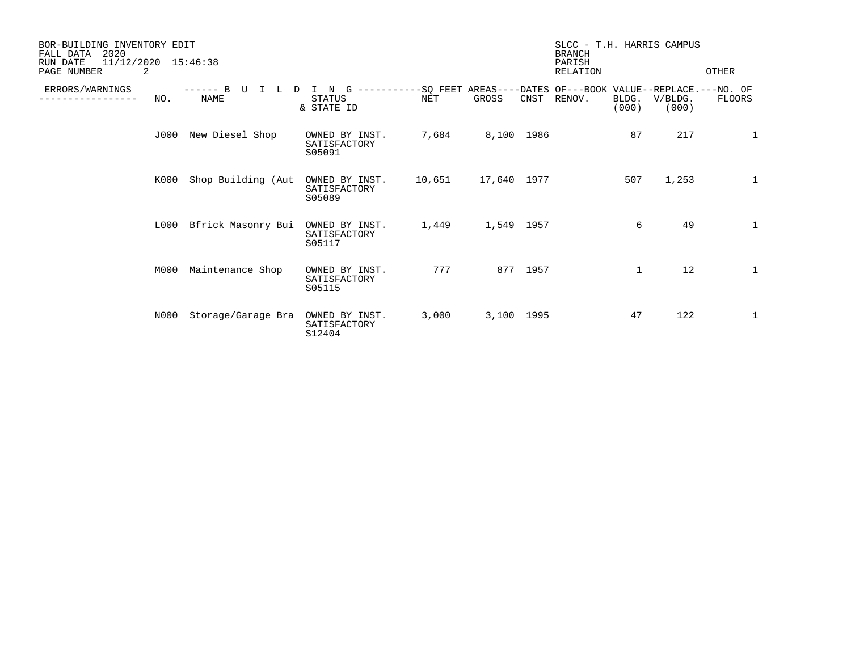| BOR-BUILDING INVENTORY EDIT<br>FALL DATA<br>2020<br>11/12/2020<br>RUN DATE<br>15:46:38<br>PAGE NUMBER<br>2 |      |                             |                                          |            |             | SLCC - T.H. HARRIS CAMPUS<br><b>BRANCH</b><br>PARISH<br>RELATION |                                                                                |                | OTHER            |              |
|------------------------------------------------------------------------------------------------------------|------|-----------------------------|------------------------------------------|------------|-------------|------------------------------------------------------------------|--------------------------------------------------------------------------------|----------------|------------------|--------------|
| ERRORS/WARNINGS                                                                                            | NO.  | B<br>-------<br><b>NAME</b> | N<br>G<br><b>STATUS</b><br>& STATE ID    | <b>NET</b> | GROSS       | CNST                                                             | -----------SQ FEET AREAS----DATES OF---BOOK VALUE--REPLACE.---NO. OF<br>RENOV. | BLDG.<br>(000) | V/BLDG.<br>(000) | FLOORS       |
|                                                                                                            | J000 | New Diesel Shop             | OWNED BY INST.<br>SATISFACTORY<br>S05091 | 7,684      | 8,100 1986  |                                                                  |                                                                                | 87             | 217              | $\mathbf{1}$ |
|                                                                                                            | K000 | Shop Building (Aut          | OWNED BY INST.<br>SATISFACTORY<br>S05089 | 10,651     | 17,640 1977 |                                                                  |                                                                                | 507            | 1,253            | 1            |
|                                                                                                            | L000 | Bfrick Masonry Bui          | OWNED BY INST.<br>SATISFACTORY<br>S05117 | 1,449      | 1,549 1957  |                                                                  |                                                                                | 6              | 49               | $\mathbf{1}$ |
|                                                                                                            | M000 | Maintenance Shop            | OWNED BY INST.<br>SATISFACTORY<br>S05115 | 777        |             | 877 1957                                                         |                                                                                | 1              | 12               | $\mathbf{1}$ |
|                                                                                                            | N000 | Storage/Garage Bra          | OWNED BY INST.<br>SATISFACTORY<br>S12404 | 3,000      | 3,100 1995  |                                                                  |                                                                                | 47             | 122              | 1            |